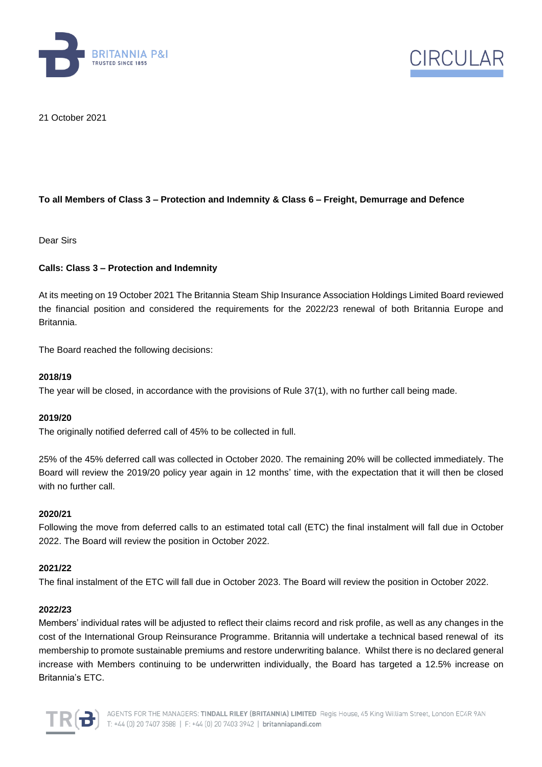



21 October 2021

# **To all Members of Class 3 – Protection and Indemnity & Class 6 – Freight, Demurrage and Defence**

Dear Sirs

# **Calls: Class 3 – Protection and Indemnity**

At its meeting on 19 October 2021 The Britannia Steam Ship Insurance Association Holdings Limited Board reviewed the financial position and considered the requirements for the 2022/23 renewal of both Britannia Europe and Britannia.

The Board reached the following decisions:

# **2018/19**

The year will be closed, in accordance with the provisions of Rule 37(1), with no further call being made.

# **2019/20**

The originally notified deferred call of 45% to be collected in full.

25% of the 45% deferred call was collected in October 2020. The remaining 20% will be collected immediately. The Board will review the 2019/20 policy year again in 12 months' time, with the expectation that it will then be closed with no further call.

# **2020/21**

Following the move from deferred calls to an estimated total call (ETC) the final instalment will fall due in October 2022. The Board will review the position in October 2022.

#### **2021/22**

The final instalment of the ETC will fall due in October 2023. The Board will review the position in October 2022.

#### **2022/23**

Members' individual rates will be adjusted to reflect their claims record and risk profile, as well as any changes in the cost of the International Group Reinsurance Programme. Britannia will undertake a technical based renewal of its membership to promote sustainable premiums and restore underwriting balance. Whilst there is no declared general increase with Members continuing to be underwritten individually, the Board has targeted a 12.5% increase on Britannia's ETC.

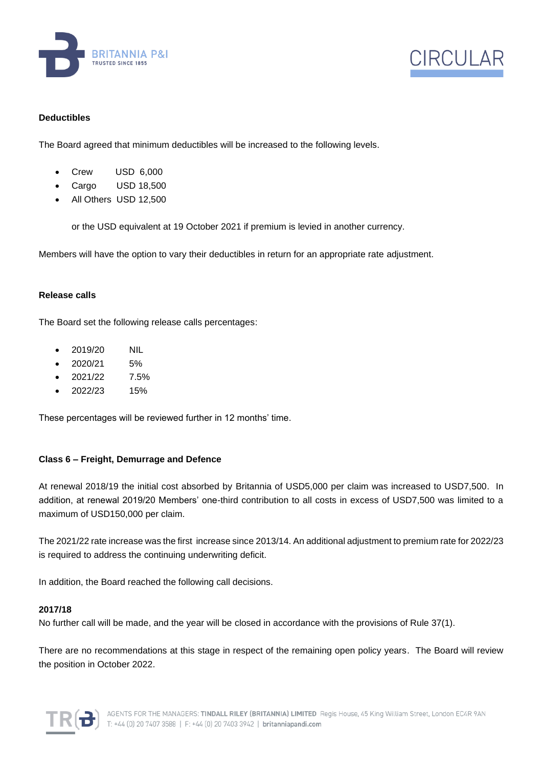



# **Deductibles**

The Board agreed that minimum deductibles will be increased to the following levels.

- Crew USD 6,000
- Cargo USD 18,500
- All Others USD 12,500

or the USD equivalent at 19 October 2021 if premium is levied in another currency.

Members will have the option to vary their deductibles in return for an appropriate rate adjustment.

# **Release calls**

The Board set the following release calls percentages:

- 2019/20 NIL
- 2020/21 5%
- 2021/22 7.5%
- 2022/23 15%

These percentages will be reviewed further in 12 months' time.

# **Class 6 – Freight, Demurrage and Defence**

At renewal 2018/19 the initial cost absorbed by Britannia of USD5,000 per claim was increased to USD7,500. In addition, at renewal 2019/20 Members' one-third contribution to all costs in excess of USD7,500 was limited to a maximum of USD150,000 per claim.

The 2021/22 rate increase was the first increase since 2013/14. An additional adjustment to premium rate for 2022/23 is required to address the continuing underwriting deficit.

In addition, the Board reached the following call decisions.

# **2017/18**

No further call will be made, and the year will be closed in accordance with the provisions of Rule 37(1).

There are no recommendations at this stage in respect of the remaining open policy years. The Board will review the position in October 2022.